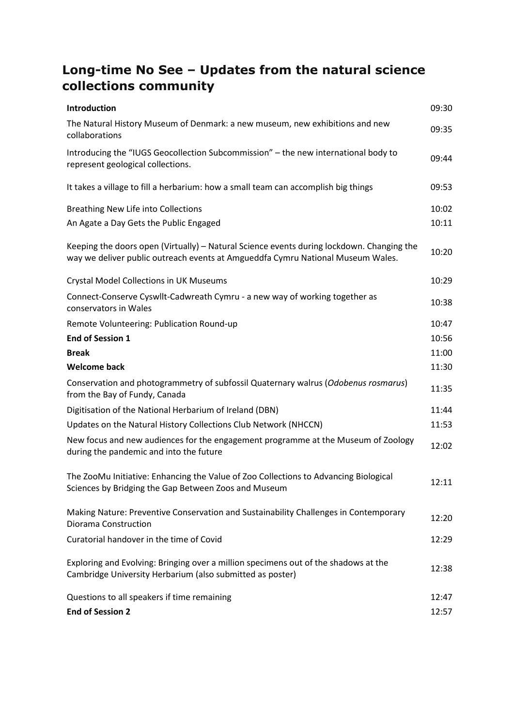# **Long-time No See – Updates from the natural science collections community**

| Introduction                                                                                                                                                                 | 09:30 |
|------------------------------------------------------------------------------------------------------------------------------------------------------------------------------|-------|
| The Natural History Museum of Denmark: a new museum, new exhibitions and new<br>collaborations                                                                               | 09:35 |
| Introducing the "IUGS Geocollection Subcommission" - the new international body to<br>represent geological collections.                                                      | 09:44 |
| It takes a village to fill a herbarium: how a small team can accomplish big things                                                                                           | 09:53 |
| <b>Breathing New Life into Collections</b>                                                                                                                                   | 10:02 |
| An Agate a Day Gets the Public Engaged                                                                                                                                       | 10:11 |
| Keeping the doors open (Virtually) - Natural Science events during lockdown. Changing the<br>way we deliver public outreach events at Amgueddfa Cymru National Museum Wales. | 10:20 |
| <b>Crystal Model Collections in UK Museums</b>                                                                                                                               | 10:29 |
| Connect-Conserve Cyswllt-Cadwreath Cymru - a new way of working together as<br>conservators in Wales                                                                         | 10:38 |
| Remote Volunteering: Publication Round-up                                                                                                                                    | 10:47 |
| <b>End of Session 1</b>                                                                                                                                                      | 10:56 |
| <b>Break</b>                                                                                                                                                                 | 11:00 |
| <b>Welcome back</b>                                                                                                                                                          | 11:30 |
| Conservation and photogrammetry of subfossil Quaternary walrus (Odobenus rosmarus)<br>from the Bay of Fundy, Canada                                                          | 11:35 |
| Digitisation of the National Herbarium of Ireland (DBN)                                                                                                                      | 11:44 |
| Updates on the Natural History Collections Club Network (NHCCN)                                                                                                              | 11:53 |
| New focus and new audiences for the engagement programme at the Museum of Zoology<br>during the pandemic and into the future                                                 | 12:02 |
| The ZooMu Initiative: Enhancing the Value of Zoo Collections to Advancing Biological<br>Sciences by Bridging the Gap Between Zoos and Museum                                 | 12:11 |
| Making Nature: Preventive Conservation and Sustainability Challenges in Contemporary<br>Diorama Construction                                                                 | 12:20 |
| Curatorial handover in the time of Covid                                                                                                                                     | 12:29 |
| Exploring and Evolving: Bringing over a million specimens out of the shadows at the<br>Cambridge University Herbarium (also submitted as poster)                             | 12:38 |
| Questions to all speakers if time remaining                                                                                                                                  | 12:47 |
| <b>End of Session 2</b>                                                                                                                                                      | 12:57 |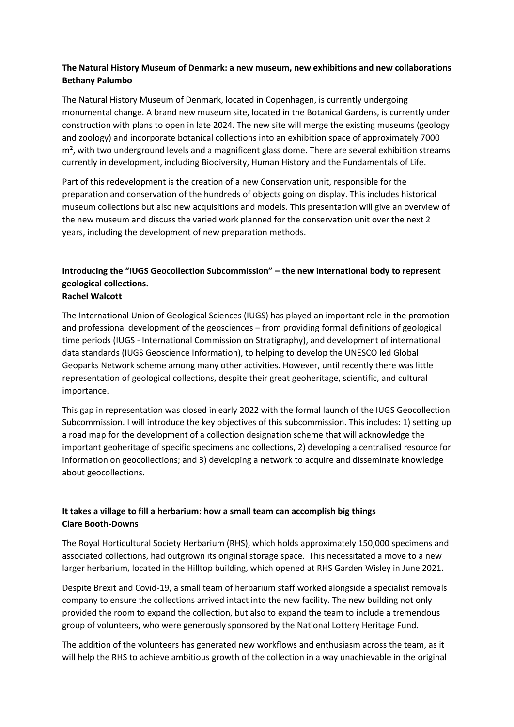#### **The Natural History Museum of Denmark: a new museum, new exhibitions and new collaborations Bethany Palumbo**

The Natural History Museum of Denmark, located in Copenhagen, is currently undergoing monumental change. A brand new museum site, located in the Botanical Gardens, is currently under construction with plans to open in late 2024. The new site will merge the existing museums (geology and zoology) and incorporate botanical collections into an exhibition space of approximately 7000  $m<sup>2</sup>$ , with two underground levels and a magnificent glass dome. There are several exhibition streams currently in development, including Biodiversity, Human History and the Fundamentals of Life.

Part of this redevelopment is the creation of a new Conservation unit, responsible for the preparation and conservation of the hundreds of objects going on display. This includes historical museum collections but also new acquisitions and models. This presentation will give an overview of the new museum and discuss the varied work planned for the conservation unit over the next 2 years, including the development of new preparation methods.

#### **Introducing the "IUGS Geocollection Subcommission" – the new international body to represent geological collections. Rachel Walcott**

The International Union of Geological Sciences (IUGS) has played an important role in the promotion and professional development of the geosciences – from providing formal definitions of geological time periods (IUGS - International Commission on Stratigraphy), and development of international data standards (IUGS Geoscience Information), to helping to develop the UNESCO led Global Geoparks Network scheme among many other activities. However, until recently there was little representation of geological collections, despite their great geoheritage, scientific, and cultural importance.

This gap in representation was closed in early 2022 with the formal launch of the IUGS Geocollection Subcommission. I will introduce the key objectives of this subcommission. This includes: 1) setting up a road map for the development of a collection designation scheme that will acknowledge the important geoheritage of specific specimens and collections, 2) developing a centralised resource for information on geocollections; and 3) developing a network to acquire and disseminate knowledge about geocollections.

#### **It takes a village to fill a herbarium: how a small team can accomplish big things Clare Booth-Downs**

The Royal Horticultural Society Herbarium (RHS), which holds approximately 150,000 specimens and associated collections, had outgrown its original storage space. This necessitated a move to a new larger herbarium, located in the Hilltop building, which opened at RHS Garden Wisley in June 2021.

Despite Brexit and Covid-19, a small team of herbarium staff worked alongside a specialist removals company to ensure the collections arrived intact into the new facility. The new building not only provided the room to expand the collection, but also to expand the team to include a tremendous group of volunteers, who were generously sponsored by the National Lottery Heritage Fund.

The addition of the volunteers has generated new workflows and enthusiasm across the team, as it will help the RHS to achieve ambitious growth of the collection in a way unachievable in the original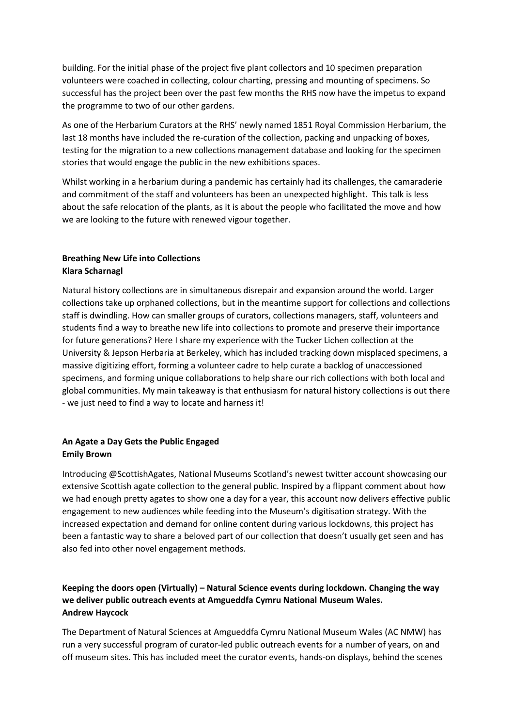building. For the initial phase of the project five plant collectors and 10 specimen preparation volunteers were coached in collecting, colour charting, pressing and mounting of specimens. So successful has the project been over the past few months the RHS now have the impetus to expand the programme to two of our other gardens.

As one of the Herbarium Curators at the RHS' newly named 1851 Royal Commission Herbarium, the last 18 months have included the re-curation of the collection, packing and unpacking of boxes, testing for the migration to a new collections management database and looking for the specimen stories that would engage the public in the new exhibitions spaces.

Whilst working in a herbarium during a pandemic has certainly had its challenges, the camaraderie and commitment of the staff and volunteers has been an unexpected highlight. This talk is less about the safe relocation of the plants, as it is about the people who facilitated the move and how we are looking to the future with renewed vigour together.

#### **Breathing New Life into Collections Klara Scharnagl**

Natural history collections are in simultaneous disrepair and expansion around the world. Larger collections take up orphaned collections, but in the meantime support for collections and collections staff is dwindling. How can smaller groups of curators, collections managers, staff, volunteers and students find a way to breathe new life into collections to promote and preserve their importance for future generations? Here I share my experience with the Tucker Lichen collection at the University & Jepson Herbaria at Berkeley, which has included tracking down misplaced specimens, a massive digitizing effort, forming a volunteer cadre to help curate a backlog of unaccessioned specimens, and forming unique collaborations to help share our rich collections with both local and global communities. My main takeaway is that enthusiasm for natural history collections is out there - we just need to find a way to locate and harness it!

## **An Agate a Day Gets the Public Engaged Emily Brown**

Introducing @ScottishAgates, National Museums Scotland's newest twitter account showcasing our extensive Scottish agate collection to the general public. Inspired by a flippant comment about how we had enough pretty agates to show one a day for a year, this account now delivers effective public engagement to new audiences while feeding into the Museum's digitisation strategy. With the increased expectation and demand for online content during various lockdowns, this project has been a fantastic way to share a beloved part of our collection that doesn't usually get seen and has also fed into other novel engagement methods.

## **Keeping the doors open (Virtually) – Natural Science events during lockdown. Changing the way we deliver public outreach events at Amgueddfa Cymru National Museum Wales. Andrew Haycock**

The Department of Natural Sciences at Amgueddfa Cymru National Museum Wales (AC NMW) has run a very successful program of curator-led public outreach events for a number of years, on and off museum sites. This has included meet the curator events, hands-on displays, behind the scenes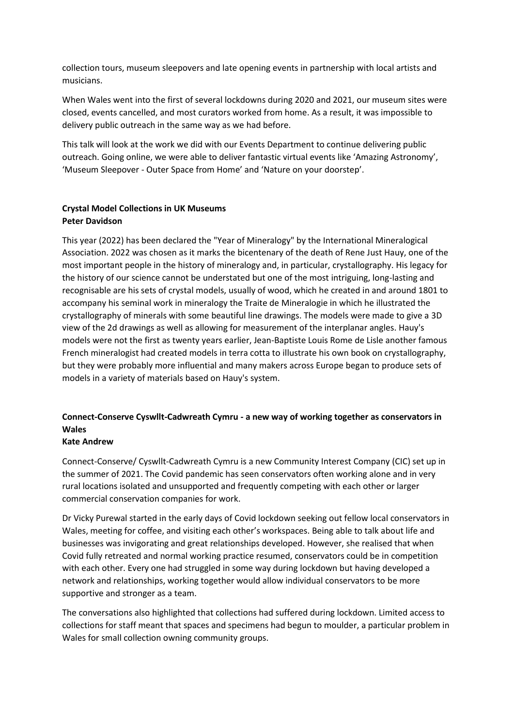collection tours, museum sleepovers and late opening events in partnership with local artists and musicians.

When Wales went into the first of several lockdowns during 2020 and 2021, our museum sites were closed, events cancelled, and most curators worked from home. As a result, it was impossible to delivery public outreach in the same way as we had before.

This talk will look at the work we did with our Events Department to continue delivering public outreach. Going online, we were able to deliver fantastic virtual events like 'Amazing Astronomy', 'Museum Sleepover - Outer Space from Home' and 'Nature on your doorstep'.

#### **Crystal Model Collections in UK Museums Peter Davidson**

This year (2022) has been declared the "Year of Mineralogy" by the International Mineralogical Association. 2022 was chosen as it marks the bicentenary of the death of Rene Just Hauy, one of the most important people in the history of mineralogy and, in particular, crystallography. His legacy for the history of our science cannot be understated but one of the most intriguing, long-lasting and recognisable are his sets of crystal models, usually of wood, which he created in and around 1801 to accompany his seminal work in mineralogy the Traite de Mineralogie in which he illustrated the crystallography of minerals with some beautiful line drawings. The models were made to give a 3D view of the 2d drawings as well as allowing for measurement of the interplanar angles. Hauy's models were not the first as twenty years earlier, Jean-Baptiste Louis Rome de Lisle another famous French mineralogist had created models in terra cotta to illustrate his own book on crystallography, but they were probably more influential and many makers across Europe began to produce sets of models in a variety of materials based on Hauy's system.

# **Connect-Conserve Cyswllt-Cadwreath Cymru - a new way of working together as conservators in Wales**

#### **Kate Andrew**

Connect-Conserve/ Cyswllt-Cadwreath Cymru is a new Community Interest Company (CIC) set up in the summer of 2021. The Covid pandemic has seen conservators often working alone and in very rural locations isolated and unsupported and frequently competing with each other or larger commercial conservation companies for work.

Dr Vicky Purewal started in the early days of Covid lockdown seeking out fellow local conservators in Wales, meeting for coffee, and visiting each other's workspaces. Being able to talk about life and businesses was invigorating and great relationships developed. However, she realised that when Covid fully retreated and normal working practice resumed, conservators could be in competition with each other. Every one had struggled in some way during lockdown but having developed a network and relationships, working together would allow individual conservators to be more supportive and stronger as a team.

The conversations also highlighted that collections had suffered during lockdown. Limited access to collections for staff meant that spaces and specimens had begun to moulder, a particular problem in Wales for small collection owning community groups.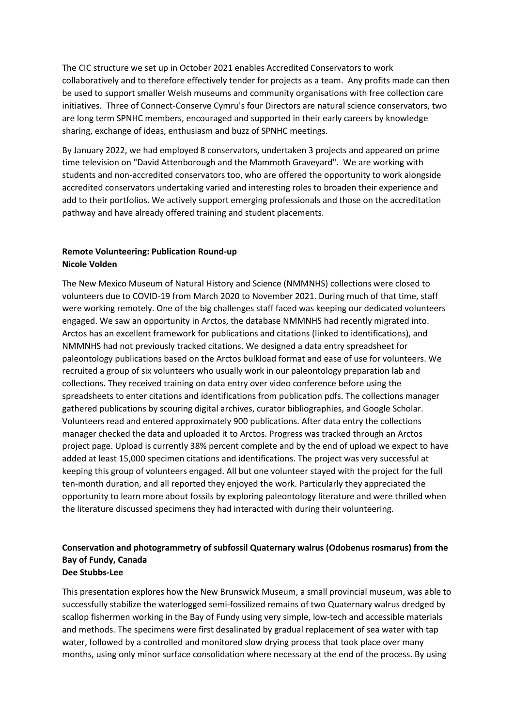The CIC structure we set up in October 2021 enables Accredited Conservators to work collaboratively and to therefore effectively tender for projects as a team. Any profits made can then be used to support smaller Welsh museums and community organisations with free collection care initiatives. Three of Connect-Conserve Cymru's four Directors are natural science conservators, two are long term SPNHC members, encouraged and supported in their early careers by knowledge sharing, exchange of ideas, enthusiasm and buzz of SPNHC meetings.

By January 2022, we had employed 8 conservators, undertaken 3 projects and appeared on prime time television on "David Attenborough and the Mammoth Graveyard". We are working with students and non-accredited conservators too, who are offered the opportunity to work alongside accredited conservators undertaking varied and interesting roles to broaden their experience and add to their portfolios. We actively support emerging professionals and those on the accreditation pathway and have already offered training and student placements.

#### **Remote Volunteering: Publication Round-up Nicole Volden**

The New Mexico Museum of Natural History and Science (NMMNHS) collections were closed to volunteers due to COVID-19 from March 2020 to November 2021. During much of that time, staff were working remotely. One of the big challenges staff faced was keeping our dedicated volunteers engaged. We saw an opportunity in Arctos, the database NMMNHS had recently migrated into. Arctos has an excellent framework for publications and citations (linked to identifications), and NMMNHS had not previously tracked citations. We designed a data entry spreadsheet for paleontology publications based on the Arctos bulkload format and ease of use for volunteers. We recruited a group of six volunteers who usually work in our paleontology preparation lab and collections. They received training on data entry over video conference before using the spreadsheets to enter citations and identifications from publication pdfs. The collections manager gathered publications by scouring digital archives, curator bibliographies, and Google Scholar. Volunteers read and entered approximately 900 publications. After data entry the collections manager checked the data and uploaded it to Arctos. Progress was tracked through an Arctos project page. Upload is currently 38% percent complete and by the end of upload we expect to have added at least 15,000 specimen citations and identifications. The project was very successful at keeping this group of volunteers engaged. All but one volunteer stayed with the project for the full ten-month duration, and all reported they enjoyed the work. Particularly they appreciated the opportunity to learn more about fossils by exploring paleontology literature and were thrilled when the literature discussed specimens they had interacted with during their volunteering.

#### **Conservation and photogrammetry of subfossil Quaternary walrus (Odobenus rosmarus) from the Bay of Fundy, Canada Dee Stubbs-Lee**

This presentation explores how the New Brunswick Museum, a small provincial museum, was able to successfully stabilize the waterlogged semi-fossilized remains of two Quaternary walrus dredged by scallop fishermen working in the Bay of Fundy using very simple, low-tech and accessible materials and methods. The specimens were first desalinated by gradual replacement of sea water with tap water, followed by a controlled and monitored slow drying process that took place over many months, using only minor surface consolidation where necessary at the end of the process. By using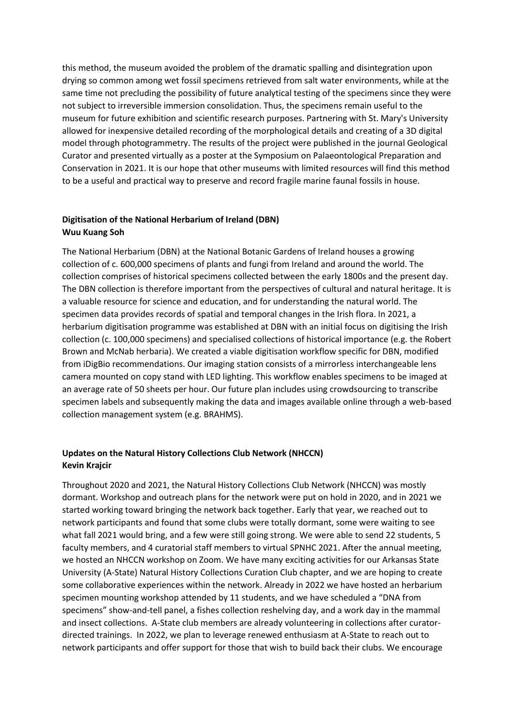this method, the museum avoided the problem of the dramatic spalling and disintegration upon drying so common among wet fossil specimens retrieved from salt water environments, while at the same time not precluding the possibility of future analytical testing of the specimens since they were not subject to irreversible immersion consolidation. Thus, the specimens remain useful to the museum for future exhibition and scientific research purposes. Partnering with St. Mary's University allowed for inexpensive detailed recording of the morphological details and creating of a 3D digital model through photogrammetry. The results of the project were published in the journal Geological Curator and presented virtually as a poster at the Symposium on Palaeontological Preparation and Conservation in 2021. It is our hope that other museums with limited resources will find this method to be a useful and practical way to preserve and record fragile marine faunal fossils in house.

#### **Digitisation of the National Herbarium of Ireland (DBN) Wuu Kuang Soh**

The National Herbarium (DBN) at the National Botanic Gardens of Ireland houses a growing collection of c. 600,000 specimens of plants and fungi from Ireland and around the world. The collection comprises of historical specimens collected between the early 1800s and the present day. The DBN collection is therefore important from the perspectives of cultural and natural heritage. It is a valuable resource for science and education, and for understanding the natural world. The specimen data provides records of spatial and temporal changes in the Irish flora. In 2021, a herbarium digitisation programme was established at DBN with an initial focus on digitising the Irish collection (c. 100,000 specimens) and specialised collections of historical importance (e.g. the Robert Brown and McNab herbaria). We created a viable digitisation workflow specific for DBN, modified from iDigBio recommendations. Our imaging station consists of a mirrorless interchangeable lens camera mounted on copy stand with LED lighting. This workflow enables specimens to be imaged at an average rate of 50 sheets per hour. Our future plan includes using crowdsourcing to transcribe specimen labels and subsequently making the data and images available online through a web-based collection management system (e.g. BRAHMS).

#### **Updates on the Natural History Collections Club Network (NHCCN) Kevin Krajcir**

Throughout 2020 and 2021, the Natural History Collections Club Network (NHCCN) was mostly dormant. Workshop and outreach plans for the network were put on hold in 2020, and in 2021 we started working toward bringing the network back together. Early that year, we reached out to network participants and found that some clubs were totally dormant, some were waiting to see what fall 2021 would bring, and a few were still going strong. We were able to send 22 students, 5 faculty members, and 4 curatorial staff members to virtual SPNHC 2021. After the annual meeting, we hosted an NHCCN workshop on Zoom. We have many exciting activities for our Arkansas State University (A-State) Natural History Collections Curation Club chapter, and we are hoping to create some collaborative experiences within the network. Already in 2022 we have hosted an herbarium specimen mounting workshop attended by 11 students, and we have scheduled a "DNA from specimens" show-and-tell panel, a fishes collection reshelving day, and a work day in the mammal and insect collections. A-State club members are already volunteering in collections after curatordirected trainings. In 2022, we plan to leverage renewed enthusiasm at A-State to reach out to network participants and offer support for those that wish to build back their clubs. We encourage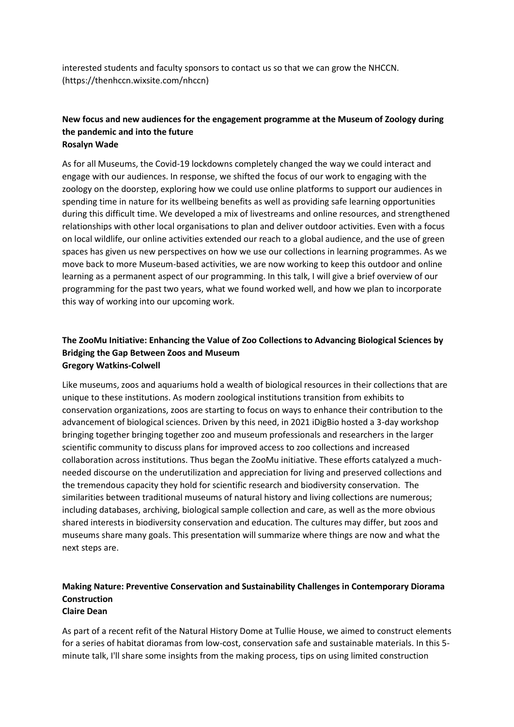interested students and faculty sponsors to contact us so that we can grow the NHCCN. (https://thenhccn.wixsite.com/nhccn)

#### **New focus and new audiences for the engagement programme at the Museum of Zoology during the pandemic and into the future Rosalyn Wade**

As for all Museums, the Covid-19 lockdowns completely changed the way we could interact and engage with our audiences. In response, we shifted the focus of our work to engaging with the zoology on the doorstep, exploring how we could use online platforms to support our audiences in spending time in nature for its wellbeing benefits as well as providing safe learning opportunities during this difficult time. We developed a mix of livestreams and online resources, and strengthened relationships with other local organisations to plan and deliver outdoor activities. Even with a focus on local wildlife, our online activities extended our reach to a global audience, and the use of green spaces has given us new perspectives on how we use our collections in learning programmes. As we move back to more Museum-based activities, we are now working to keep this outdoor and online learning as a permanent aspect of our programming. In this talk, I will give a brief overview of our programming for the past two years, what we found worked well, and how we plan to incorporate this way of working into our upcoming work.

#### **The ZooMu Initiative: Enhancing the Value of Zoo Collections to Advancing Biological Sciences by Bridging the Gap Between Zoos and Museum Gregory Watkins-Colwell**

Like museums, zoos and aquariums hold a wealth of biological resources in their collections that are unique to these institutions. As modern zoological institutions transition from exhibits to conservation organizations, zoos are starting to focus on ways to enhance their contribution to the advancement of biological sciences. Driven by this need, in 2021 iDigBio hosted a 3-day workshop bringing together bringing together zoo and museum professionals and researchers in the larger scientific community to discuss plans for improved access to zoo collections and increased collaboration across institutions. Thus began the ZooMu initiative. These efforts catalyzed a muchneeded discourse on the underutilization and appreciation for living and preserved collections and the tremendous capacity they hold for scientific research and biodiversity conservation. The similarities between traditional museums of natural history and living collections are numerous; including databases, archiving, biological sample collection and care, as well as the more obvious shared interests in biodiversity conservation and education. The cultures may differ, but zoos and museums share many goals. This presentation will summarize where things are now and what the next steps are.

#### **Making Nature: Preventive Conservation and Sustainability Challenges in Contemporary Diorama Construction Claire Dean**

As part of a recent refit of the Natural History Dome at Tullie House, we aimed to construct elements for a series of habitat dioramas from low-cost, conservation safe and sustainable materials. In this 5 minute talk, I'll share some insights from the making process, tips on using limited construction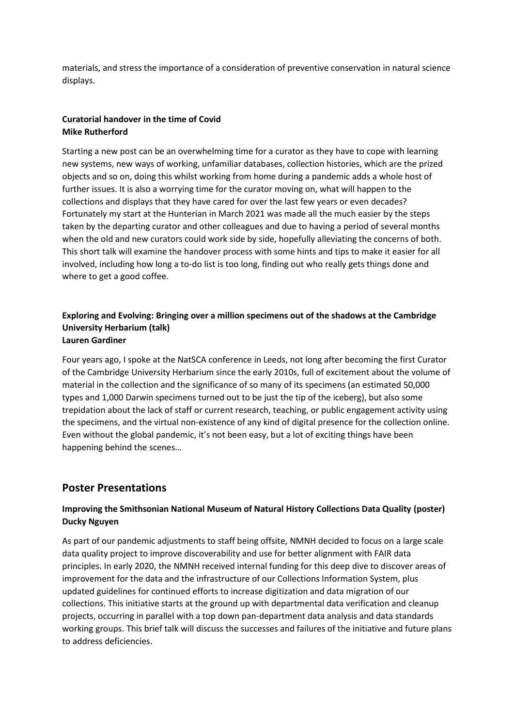materials, and stress the importance of a consideration of preventive conservation in natural science displays.

#### **Curatorial handover in the time of Covid Mike Rutherford**

Starting a new post can be an overwhelming time for a curator as they have to cope with learning new systems, new ways of working, unfamiliar databases, collection histories, which are the prized objects and so on, doing this whilst working from home during a pandemic adds a whole host of further issues. It is also a worrying time for the curator moving on, what will happen to the collections and displays that they have cared for over the last few years or even decades? Fortunately my start at the Hunterian in March 2021 was made all the much easier by the steps taken by the departing curator and other colleagues and due to having a period of several months when the old and new curators could work side by side, hopefully alleviating the concerns of both. This short talk will examine the handover process with some hints and tips to make it easier for all involved, including how long a to-do list is too long, finding out who really gets things done and where to get a good coffee.

#### **Exploring and Evolving: Bringing over a million specimens out of the shadows at the Cambridge University Herbarium (talk) Lauren Gardiner**

# Four years ago, I spoke at the NatSCA conference in Leeds, not long after becoming the first Curator of the Cambridge University Herbarium since the early 2010s, full of excitement about the volume of material in the collection and the significance of so many of its specimens (an estimated 50,000 types and 1,000 Darwin specimens turned out to be just the tip of the iceberg), but also some trepidation about the lack of staff or current research, teaching, or public engagement activity using the specimens, and the virtual non-existence of any kind of digital presence for the collection online. Even without the global pandemic, it's not been easy, but a lot of exciting things have been

happening behind the scenes…

# **Poster Presentations**

## **Improving the Smithsonian National Museum of Natural History Collections Data Quality (poster) Ducky Nguyen**

As part of our pandemic adjustments to staff being offsite, NMNH decided to focus on a large scale data quality project to improve discoverability and use for better alignment with FAIR data principles. In early 2020, the NMNH received internal funding for this deep dive to discover areas of improvement for the data and the infrastructure of our Collections Information System, plus updated guidelines for continued efforts to increase digitization and data migration of our collections. This initiative starts at the ground up with departmental data verification and cleanup projects, occurring in parallel with a top down pan-department data analysis and data standards working groups. This brief talk will discuss the successes and failures of the initiative and future plans to address deficiencies.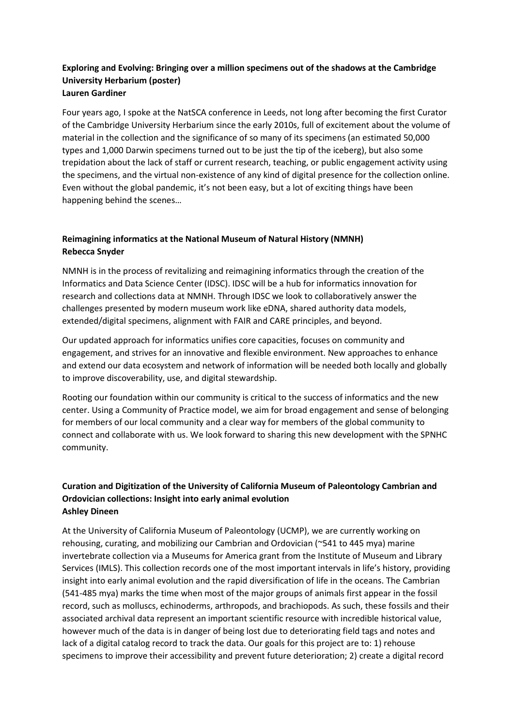#### **Exploring and Evolving: Bringing over a million specimens out of the shadows at the Cambridge University Herbarium (poster) Lauren Gardiner**

Four years ago, I spoke at the NatSCA conference in Leeds, not long after becoming the first Curator of the Cambridge University Herbarium since the early 2010s, full of excitement about the volume of material in the collection and the significance of so many of its specimens (an estimated 50,000 types and 1,000 Darwin specimens turned out to be just the tip of the iceberg), but also some trepidation about the lack of staff or current research, teaching, or public engagement activity using the specimens, and the virtual non-existence of any kind of digital presence for the collection online. Even without the global pandemic, it's not been easy, but a lot of exciting things have been happening behind the scenes…

### **Reimagining informatics at the National Museum of Natural History (NMNH) Rebecca Snyder**

NMNH is in the process of revitalizing and reimagining informatics through the creation of the Informatics and Data Science Center (IDSC). IDSC will be a hub for informatics innovation for research and collections data at NMNH. Through IDSC we look to collaboratively answer the challenges presented by modern museum work like eDNA, shared authority data models, extended/digital specimens, alignment with FAIR and CARE principles, and beyond.

Our updated approach for informatics unifies core capacities, focuses on community and engagement, and strives for an innovative and flexible environment. New approaches to enhance and extend our data ecosystem and network of information will be needed both locally and globally to improve discoverability, use, and digital stewardship.

Rooting our foundation within our community is critical to the success of informatics and the new center. Using a Community of Practice model, we aim for broad engagement and sense of belonging for members of our local community and a clear way for members of the global community to connect and collaborate with us. We look forward to sharing this new development with the SPNHC community.

#### **Curation and Digitization of the University of California Museum of Paleontology Cambrian and Ordovician collections: Insight into early animal evolution Ashley Dineen**

At the University of California Museum of Paleontology (UCMP), we are currently working on rehousing, curating, and mobilizing our Cambrian and Ordovician (~541 to 445 mya) marine invertebrate collection via a Museums for America grant from the Institute of Museum and Library Services (IMLS). This collection records one of the most important intervals in life's history, providing insight into early animal evolution and the rapid diversification of life in the oceans. The Cambrian (541-485 mya) marks the time when most of the major groups of animals first appear in the fossil record, such as molluscs, echinoderms, arthropods, and brachiopods. As such, these fossils and their associated archival data represent an important scientific resource with incredible historical value, however much of the data is in danger of being lost due to deteriorating field tags and notes and lack of a digital catalog record to track the data. Our goals for this project are to: 1) rehouse specimens to improve their accessibility and prevent future deterioration; 2) create a digital record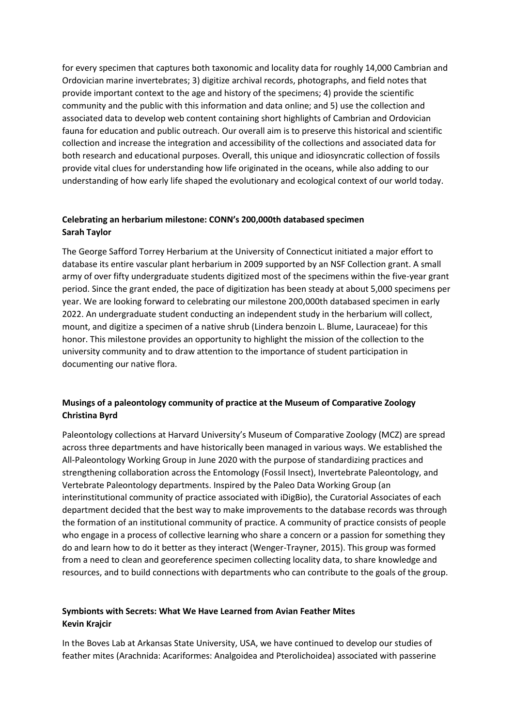for every specimen that captures both taxonomic and locality data for roughly 14,000 Cambrian and Ordovician marine invertebrates; 3) digitize archival records, photographs, and field notes that provide important context to the age and history of the specimens; 4) provide the scientific community and the public with this information and data online; and 5) use the collection and associated data to develop web content containing short highlights of Cambrian and Ordovician fauna for education and public outreach. Our overall aim is to preserve this historical and scientific collection and increase the integration and accessibility of the collections and associated data for both research and educational purposes. Overall, this unique and idiosyncratic collection of fossils provide vital clues for understanding how life originated in the oceans, while also adding to our understanding of how early life shaped the evolutionary and ecological context of our world today.

#### **Celebrating an herbarium milestone: CONN's 200,000th databased specimen Sarah Taylor**

The George Safford Torrey Herbarium at the University of Connecticut initiated a major effort to database its entire vascular plant herbarium in 2009 supported by an NSF Collection grant. A small army of over fifty undergraduate students digitized most of the specimens within the five-year grant period. Since the grant ended, the pace of digitization has been steady at about 5,000 specimens per year. We are looking forward to celebrating our milestone 200,000th databased specimen in early 2022. An undergraduate student conducting an independent study in the herbarium will collect, mount, and digitize a specimen of a native shrub (Lindera benzoin L. Blume, Lauraceae) for this honor. This milestone provides an opportunity to highlight the mission of the collection to the university community and to draw attention to the importance of student participation in documenting our native flora.

#### **Musings of a paleontology community of practice at the Museum of Comparative Zoology Christina Byrd**

Paleontology collections at Harvard University's Museum of Comparative Zoology (MCZ) are spread across three departments and have historically been managed in various ways. We established the All-Paleontology Working Group in June 2020 with the purpose of standardizing practices and strengthening collaboration across the Entomology (Fossil Insect), Invertebrate Paleontology, and Vertebrate Paleontology departments. Inspired by the Paleo Data Working Group (an interinstitutional community of practice associated with iDigBio), the Curatorial Associates of each department decided that the best way to make improvements to the database records was through the formation of an institutional community of practice. A community of practice consists of people who engage in a process of collective learning who share a concern or a passion for something they do and learn how to do it better as they interact (Wenger-Trayner, 2015). This group was formed from a need to clean and georeference specimen collecting locality data, to share knowledge and resources, and to build connections with departments who can contribute to the goals of the group.

#### **Symbionts with Secrets: What We Have Learned from Avian Feather Mites Kevin Krajcir**

In the Boves Lab at Arkansas State University, USA, we have continued to develop our studies of feather mites (Arachnida: Acariformes: Analgoidea and Pterolichoidea) associated with passerine